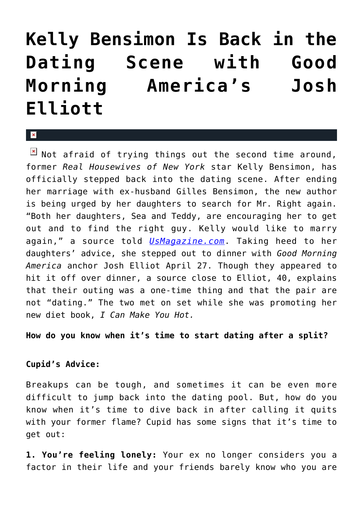## **[Kelly Bensimon Is Back in the](https://cupidspulse.com/31023/kelly-bensimon-dating-scene-good-morning-america-josh-elliott/) [Dating Scene with Good](https://cupidspulse.com/31023/kelly-bensimon-dating-scene-good-morning-america-josh-elliott/) [Morning America's Josh](https://cupidspulse.com/31023/kelly-bensimon-dating-scene-good-morning-america-josh-elliott/) [Elliott](https://cupidspulse.com/31023/kelly-bensimon-dating-scene-good-morning-america-josh-elliott/)**

x

 $\boxed{\times}$  Not afraid of trying things out the second time around, former *Real Housewives of New York* star Kelly Bensimon, has officially stepped back into the dating scene. After ending her marriage with ex-husband Gilles Bensimon, the new author is being urged by her daughters to search for Mr. Right again. "Both her daughters, Sea and Teddy, are encouraging her to get out and to find the right guy. Kelly would like to marry again," a source told *[UsMagazine.com](http://www.usmagazine.com/celebrity-news/news/kelly-bensimon-goes-on-cozy-date-with-good-morning-americas-josh-elliott-201275)*. Taking heed to her daughters' advice, she stepped out to dinner with *Good Morning America* anchor Josh Elliot April 27. Though they appeared to hit it off over dinner, a source close to Elliot, 40, explains that their outing was a one-time thing and that the pair are not "dating." The two met on set while she was promoting her new diet book, *I Can Make You Hot.*

## **How do you know when it's time to start dating after a split?**

## **Cupid's Advice:**

Breakups can be tough, and sometimes it can be even more difficult to jump back into the dating pool. But, how do you know when it's time to dive back in after calling it quits with your former flame? Cupid has some signs that it's time to get out:

**1. You're feeling lonely:** Your ex no longer considers you a factor in their life and your friends barely know who you are